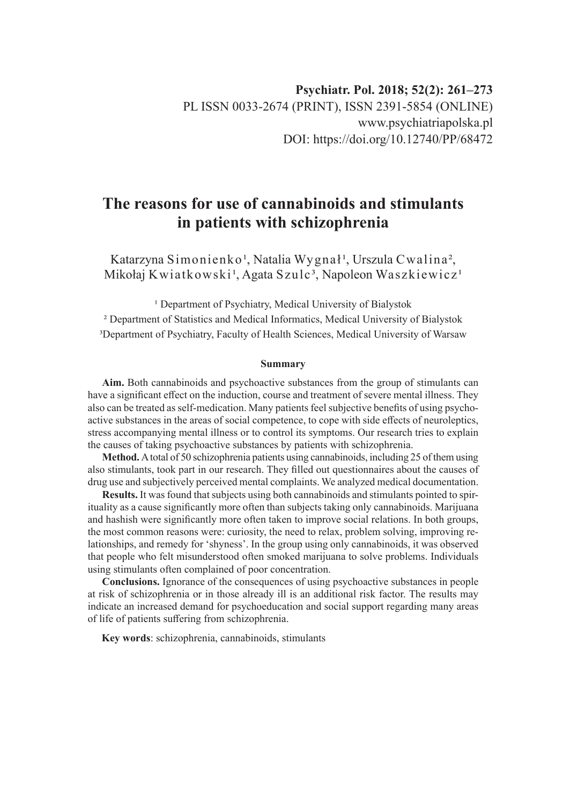# **The reasons for use of cannabinoids and stimulants in patients with schizophrenia**

Katarzyna Simonienko<sup>1</sup>, Natalia Wygnał<sup>1</sup>, Urszula Cwalina<sup>2</sup>, Mikołaj Kwiatkowski<sup>1</sup>, Agata Szulc<sup>3</sup>, Napoleon Waszkiewicz<sup>1</sup>

<sup>1</sup> Department of Psychiatry, Medical University of Bialystok

² Department of Statistics and Medical Informatics, Medical University of Bialystok <sup>3</sup>Department of Psychiatry, Faculty of Health Sciences, Medical University of Warsaw

#### **Summary**

**Aim.** Both cannabinoids and psychoactive substances from the group of stimulants can have a significant effect on the induction, course and treatment of severe mental illness. They also can be treated as self-medication. Many patients feel subjective benefits of using psychoactive substances in the areas of social competence, to cope with side effects of neuroleptics, stress accompanying mental illness or to control its symptoms. Our research tries to explain the causes of taking psychoactive substances by patients with schizophrenia.

**Method.** A total of 50 schizophrenia patients using cannabinoids, including 25 of them using also stimulants, took part in our research. They filled out questionnaires about the causes of drug use and subjectively perceived mental complaints. We analyzed medical documentation.

**Results.** It was found that subjects using both cannabinoids and stimulants pointed to spirituality as a cause significantly more often than subjects taking only cannabinoids. Marijuana and hashish were significantly more often taken to improve social relations. In both groups, the most common reasons were: curiosity, the need to relax, problem solving, improving relationships, and remedy for 'shyness'. In the group using only cannabinoids, it was observed that people who felt misunderstood often smoked marijuana to solve problems. Individuals using stimulants often complained of poor concentration.

**Conclusions.** Ignorance of the consequences of using psychoactive substances in people at risk of schizophrenia or in those already ill is an additional risk factor. The results may indicate an increased demand for psychoeducation and social support regarding many areas of life of patients suffering from schizophrenia.

**Key words**: schizophrenia, cannabinoids, stimulants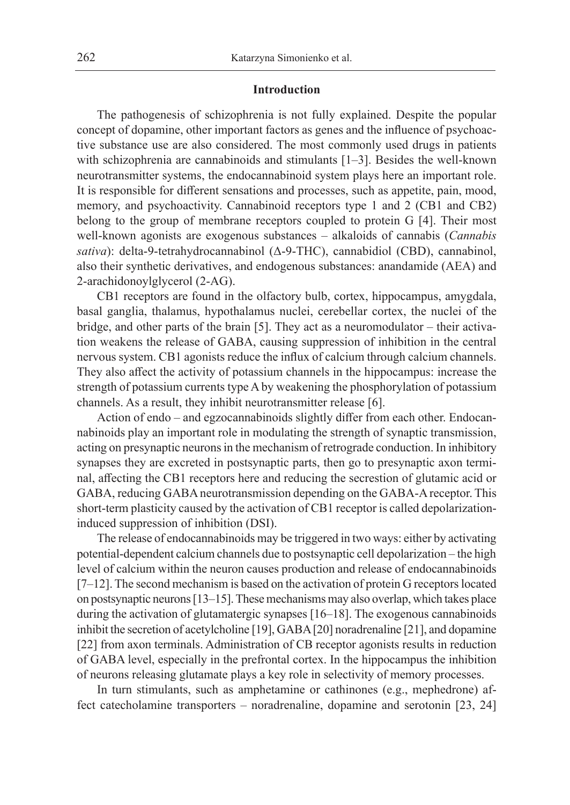### **Introduction**

The pathogenesis of schizophrenia is not fully explained. Despite the popular concept of dopamine, other important factors as genes and the influence of psychoactive substance use are also considered. The most commonly used drugs in patients with schizophrenia are cannabinoids and stimulants [1–3]. Besides the well-known neurotransmitter systems, the endocannabinoid system plays here an important role. It is responsible for different sensations and processes, such as appetite, pain, mood, memory, and psychoactivity. Cannabinoid receptors type 1 and 2 (CB1 and CB2) belong to the group of membrane receptors coupled to protein G [4]. Their most well-known agonists are exogenous substances – alkaloids of cannabis (*Cannabis sativa*): delta-9-tetrahydrocannabinol (Δ-9-THC), cannabidiol (CBD), cannabinol, also their synthetic derivatives, and endogenous substances: anandamide (AEA) and 2-arachidonoylglycerol (2-AG).

CB1 receptors are found in the olfactory bulb, cortex, hippocampus, amygdala, basal ganglia, thalamus, hypothalamus nuclei, cerebellar cortex, the nuclei of the bridge, and other parts of the brain [5]. They act as a neuromodulator – their activation weakens the release of GABA, causing suppression of inhibition in the central nervous system. CB1 agonists reduce the influx of calcium through calcium channels. They also affect the activity of potassium channels in the hippocampus: increase the strength of potassium currents type A by weakening the phosphorylation of potassium channels. As a result, they inhibit neurotransmitter release [6].

Action of endo – and egzocannabinoids slightly differ from each other. Endocannabinoids play an important role in modulating the strength of synaptic transmission, acting on presynaptic neurons in the mechanism of retrograde conduction. In inhibitory synapses they are excreted in postsynaptic parts, then go to presynaptic axon terminal, affecting the CB1 receptors here and reducing the secrestion of glutamic acid or GABA, reducing GABA neurotransmission depending on the GABA-A receptor. This short-term plasticity caused by the activation of CB1 receptor is called depolarizationinduced suppression of inhibition (DSI).

The release of endocannabinoids may be triggered in two ways: either by activating potential-dependent calcium channels due to postsynaptic cell depolarization – the high level of calcium within the neuron causes production and release of endocannabinoids  $[7-12]$ . The second mechanism is based on the activation of protein G receptors located on postsynaptic neurons [13–15]. These mechanisms may also overlap, which takes place during the activation of glutamatergic synapses [16–18]. The exogenous cannabinoids inhibit the secretion of acetylcholine [19], GABA [20] noradrenaline [21], and dopamine [22] from axon terminals. Administration of CB receptor agonists results in reduction of GABA level, especially in the prefrontal cortex. In the hippocampus the inhibition of neurons releasing glutamate plays a key role in selectivity of memory processes.

In turn stimulants, such as amphetamine or cathinones (e.g., mephedrone) affect catecholamine transporters – noradrenaline, dopamine and serotonin [23, 24]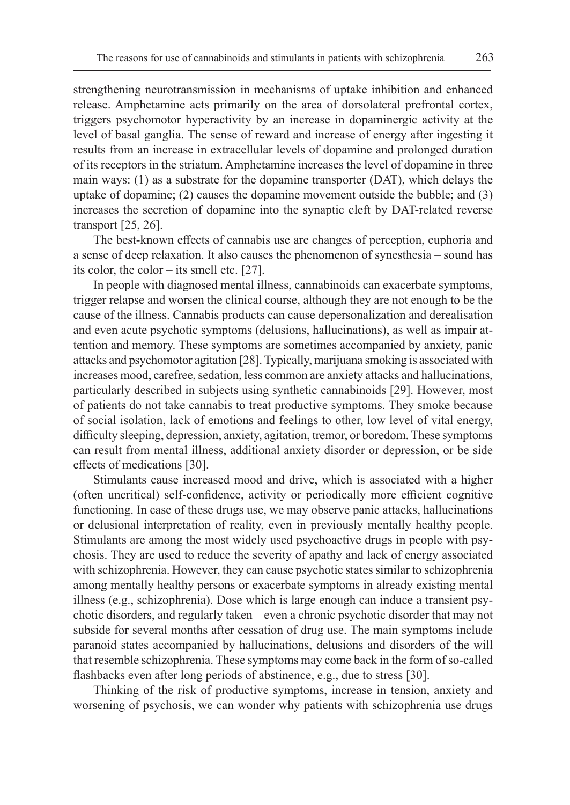strengthening neurotransmission in mechanisms of uptake inhibition and enhanced release. Amphetamine acts primarily on the area of dorsolateral prefrontal cortex, triggers psychomotor hyperactivity by an increase in dopaminergic activity at the level of basal ganglia. The sense of reward and increase of energy after ingesting it results from an increase in extracellular levels of dopamine and prolonged duration of its receptors in the striatum. Amphetamine increases the level of dopamine in three main ways: (1) as a substrate for the dopamine transporter (DAT), which delays the uptake of dopamine; (2) causes the dopamine movement outside the bubble; and (3) increases the secretion of dopamine into the synaptic cleft by DAT-related reverse transport [25, 26].

The best-known effects of cannabis use are changes of perception, euphoria and a sense of deep relaxation. It also causes the phenomenon of synesthesia – sound has its color, the color – its smell etc. [27].

In people with diagnosed mental illness, cannabinoids can exacerbate symptoms, trigger relapse and worsen the clinical course, although they are not enough to be the cause of the illness. Cannabis products can cause depersonalization and derealisation and even acute psychotic symptoms (delusions, hallucinations), as well as impair attention and memory. These symptoms are sometimes accompanied by anxiety, panic attacks and psychomotor agitation [28]. Typically, marijuana smoking is associated with increases mood, carefree, sedation, less common are anxiety attacks and hallucinations, particularly described in subjects using synthetic cannabinoids [29]. However, most of patients do not take cannabis to treat productive symptoms. They smoke because of social isolation, lack of emotions and feelings to other, low level of vital energy, difficulty sleeping, depression, anxiety, agitation, tremor, or boredom. These symptoms can result from mental illness, additional anxiety disorder or depression, or be side effects of medications [30].

Stimulants cause increased mood and drive, which is associated with a higher (often uncritical) self-confidence, activity or periodically more efficient cognitive functioning. In case of these drugs use, we may observe panic attacks, hallucinations or delusional interpretation of reality, even in previously mentally healthy people. Stimulants are among the most widely used psychoactive drugs in people with psychosis. They are used to reduce the severity of apathy and lack of energy associated with schizophrenia. However, they can cause psychotic states similar to schizophrenia among mentally healthy persons or exacerbate symptoms in already existing mental illness (e.g., schizophrenia). Dose which is large enough can induce a transient psychotic disorders, and regularly taken – even a chronic psychotic disorder that may not subside for several months after cessation of drug use. The main symptoms include paranoid states accompanied by hallucinations, delusions and disorders of the will that resemble schizophrenia. These symptoms may come back in the form of so-called flashbacks even after long periods of abstinence, e.g., due to stress [30].

Thinking of the risk of productive symptoms, increase in tension, anxiety and worsening of psychosis, we can wonder why patients with schizophrenia use drugs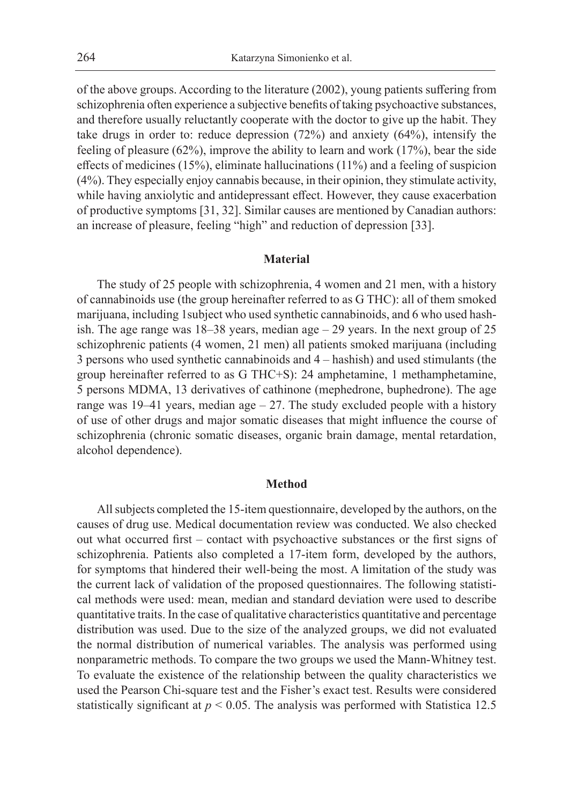of the above groups. According to the literature (2002), young patients suffering from schizophrenia often experience a subjective benefits of taking psychoactive substances, and therefore usually reluctantly cooperate with the doctor to give up the habit. They take drugs in order to: reduce depression (72%) and anxiety (64%), intensify the feeling of pleasure (62%), improve the ability to learn and work (17%), bear the side effects of medicines (15%), eliminate hallucinations (11%) and a feeling of suspicion (4%). They especially enjoy cannabis because, in their opinion, they stimulate activity, while having anxiolytic and antidepressant effect. However, they cause exacerbation of productive symptoms [31, 32]. Similar causes are mentioned by Canadian authors: an increase of pleasure, feeling "high" and reduction of depression [33].

#### **Material**

The study of 25 people with schizophrenia, 4 women and 21 men, with a history of cannabinoids use (the group hereinafter referred to as G THC): all of them smoked marijuana, including 1subject who used synthetic cannabinoids, and 6 who used hashish. The age range was 18–38 years, median age – 29 years. In the next group of 25 schizophrenic patients (4 women, 21 men) all patients smoked marijuana (including 3 persons who used synthetic cannabinoids and 4 – hashish) and used stimulants (the group hereinafter referred to as G THC+S): 24 amphetamine, 1 methamphetamine, 5 persons MDMA, 13 derivatives of cathinone (mephedrone, buphedrone). The age range was  $19-41$  years, median age  $-27$ . The study excluded people with a history of use of other drugs and major somatic diseases that might influence the course of schizophrenia (chronic somatic diseases, organic brain damage, mental retardation, alcohol dependence).

#### **Method**

All subjects completed the 15-item questionnaire, developed by the authors, on the causes of drug use. Medical documentation review was conducted. We also checked out what occurred first – contact with psychoactive substances or the first signs of schizophrenia. Patients also completed a 17-item form, developed by the authors, for symptoms that hindered their well-being the most. A limitation of the study was the current lack of validation of the proposed questionnaires. The following statistical methods were used: mean, median and standard deviation were used to describe quantitative traits. In the case of qualitative characteristics quantitative and percentage distribution was used. Due to the size of the analyzed groups, we did not evaluated the normal distribution of numerical variables. The analysis was performed using nonparametric methods. To compare the two groups we used the Mann-Whitney test. To evaluate the existence of the relationship between the quality characteristics we used the Pearson Chi-square test and the Fisher's exact test. Results were considered statistically significant at *p* < 0.05. The analysis was performed with Statistica 12.5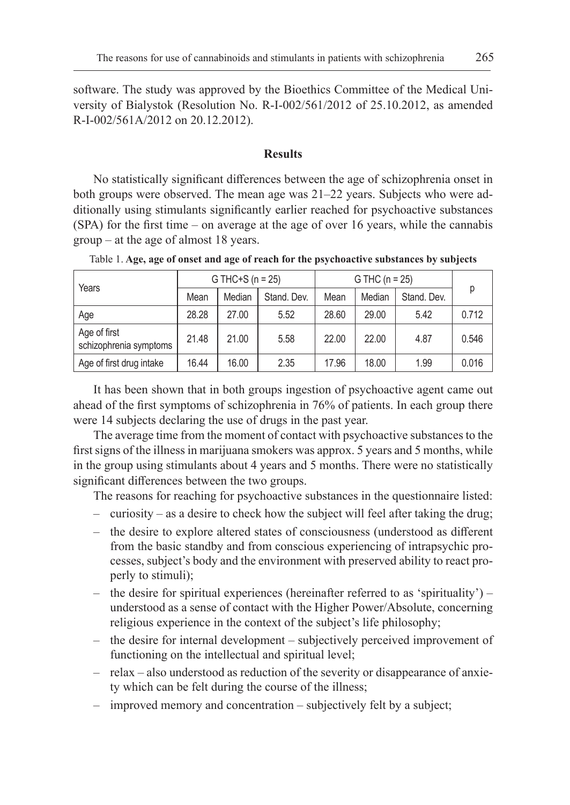software. The study was approved by the Bioethics Committee of the Medical University of Bialystok (Resolution No. R-I-002/561/2012 of 25.10.2012, as amended R-I-002/561A/2012 on 20.12.2012).

## **Results**

No statistically significant differences between the age of schizophrenia onset in both groups were observed. The mean age was 21–22 years. Subjects who were additionally using stimulants significantly earlier reached for psychoactive substances (SPA) for the first time – on average at the age of over 16 years, while the cannabis group – at the age of almost 18 years.

| Years | G THC+S ( $n = 25$ ) |        |             | G THC $(n = 25)$ |        |             |       |
|-------|----------------------|--------|-------------|------------------|--------|-------------|-------|
|       | Mean                 | Median | Stand, Dev. | Mean             | Median | Stand, Dev. | D     |
| Age   | 28.28                | 27.00  | 5.52        | 28.60            | 29.00  | 5.42        | 0.712 |

Age of first<br>schizophrenia symptoms 21.48 21.00 5.58 22.00 22.00 4.87 0.546 Age of first drug intake | 16.44 | 16.00 | 2.35 | 17.96 | 18.00 | 1.99 | 0.016

Age of first

Table 1. **Age, age of onset and age of reach for the psychoactive substances by subjects**

It has been shown that in both groups ingestion of psychoactive agent came out ahead of the first symptoms of schizophrenia in 76% of patients. In each group there were 14 subjects declaring the use of drugs in the past year.

The average time from the moment of contact with psychoactive substances to the first signs of the illness in marijuana smokers was approx. 5 years and 5 months, while in the group using stimulants about 4 years and 5 months. There were no statistically significant differences between the two groups.

The reasons for reaching for psychoactive substances in the questionnaire listed:

- curiosity as a desire to check how the subject will feel after taking the drug;
- the desire to explore altered states of consciousness (understood as different from the basic standby and from conscious experiencing of intrapsychic processes, subject's body and the environment with preserved ability to react properly to stimuli);
- $-$  the desire for spiritual experiences (hereinafter referred to as 'spirituality') understood as a sense of contact with the Higher Power/Absolute, concerning religious experience in the context of the subject's life philosophy;
- the desire for internal development subjectively perceived improvement of functioning on the intellectual and spiritual level;
- relax also understood as reduction of the severity or disappearance of anxiety which can be felt during the course of the illness;
- improved memory and concentration subjectively felt by a subject;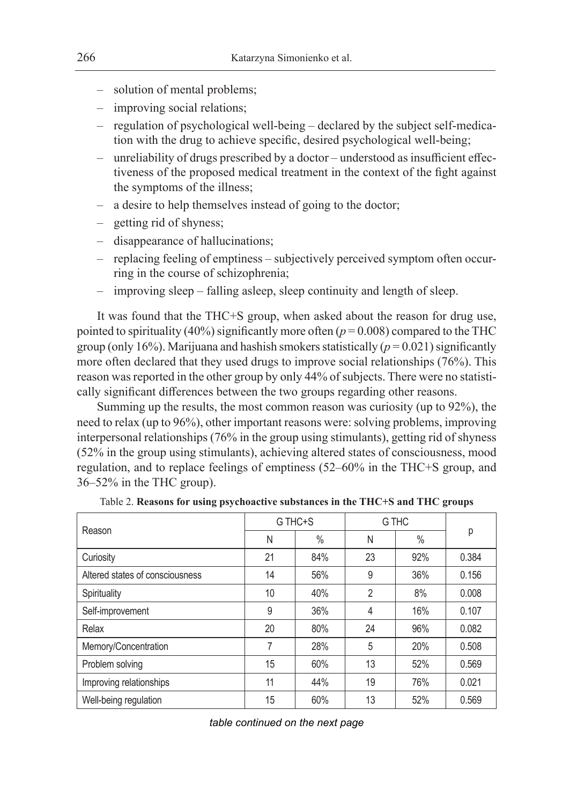- solution of mental problems;
- improving social relations;
- regulation of psychological well-being declared by the subject self-medication with the drug to achieve specific, desired psychological well-being;
- unreliability of drugs prescribed by a doctor understood as insufficient effectiveness of the proposed medical treatment in the context of the fight against the symptoms of the illness;
- a desire to help themselves instead of going to the doctor;
- getting rid of shyness;
- disappearance of hallucinations;
- replacing feeling of emptiness subjectively perceived symptom often occurring in the course of schizophrenia;
- improving sleep falling asleep, sleep continuity and length of sleep.

It was found that the THC+S group, when asked about the reason for drug use, pointed to spirituality (40%) significantly more often ( $p = 0.008$ ) compared to the THC group (only 16%). Marijuana and hashish smokers statistically  $(p = 0.021)$  significantly more often declared that they used drugs to improve social relationships (76%). This reason was reported in the other group by only 44% of subjects. There were no statistically significant differences between the two groups regarding other reasons.

Summing up the results, the most common reason was curiosity (up to 92%), the need to relax (up to 96%), other important reasons were: solving problems, improving interpersonal relationships (76% in the group using stimulants), getting rid of shyness (52% in the group using stimulants), achieving altered states of consciousness, mood regulation, and to replace feelings of emptiness (52–60% in the THC+S group, and 36–52% in the THC group).

| Reason                          | G THC+S |      | G THC          |      |       |  |
|---------------------------------|---------|------|----------------|------|-------|--|
|                                 | N       | $\%$ | N              | $\%$ | р     |  |
| Curiosity                       | 21      | 84%  | 23             | 92%  | 0.384 |  |
| Altered states of consciousness | 14      | 56%  | 9              | 36%  | 0.156 |  |
| Spirituality                    | 10      | 40%  | $\overline{2}$ | 8%   | 0.008 |  |
| Self-improvement                | 9       | 36%  | 4              | 16%  | 0.107 |  |
| Relax                           | 20      | 80%  | 24             | 96%  | 0.082 |  |
| Memory/Concentration            | 7       | 28%  | 5              | 20%  | 0.508 |  |
| Problem solving                 | 15      | 60%  | 13             | 52%  | 0.569 |  |
| Improving relationships         | 11      | 44%  | 19             | 76%  | 0.021 |  |
| Well-being regulation           | 15      | 60%  | 13             | 52%  | 0.569 |  |

Table 2. **Reasons for using psychoactive substances in the THC+S and THC groups**

*table continued on the next page*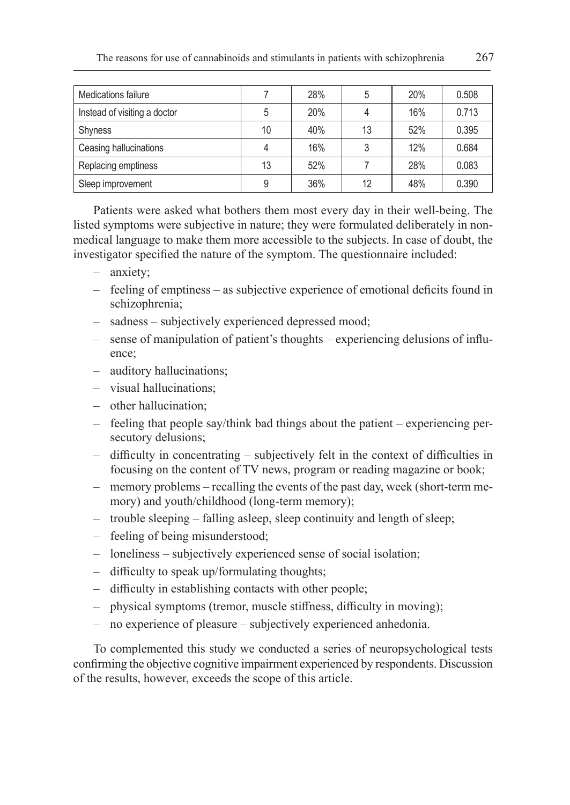| Medications failure          |    | 28% | 5  | 20% | 0.508 |
|------------------------------|----|-----|----|-----|-------|
| Instead of visiting a doctor | 5  | 20% |    | 16% | 0.713 |
| <b>Shyness</b>               | 10 | 40% | 13 | 52% | 0.395 |
| Ceasing hallucinations       |    | 16% | 3  | 12% | 0.684 |
| Replacing emptiness          | 13 | 52% |    | 28% | 0.083 |
| Sleep improvement            | 9  | 36% | 12 | 48% | 0.390 |

Patients were asked what bothers them most every day in their well-being. The listed symptoms were subjective in nature; they were formulated deliberately in nonmedical language to make them more accessible to the subjects. In case of doubt, the investigator specified the nature of the symptom. The questionnaire included:

- anxiety;
- feeling of emptiness as subjective experience of emotional deficits found in schizophrenia;
- sadness subjectively experienced depressed mood;
- sense of manipulation of patient's thoughts experiencing delusions of influence;
- auditory hallucinations;
- visual hallucinations;
- other hallucination;
- feeling that people say/think bad things about the patient experiencing persecutory delusions;
- difficulty in concentrating subjectively felt in the context of difficulties in focusing on the content of TV news, program or reading magazine or book;
- memory problems recalling the events of the past day, week (short-term memory) and youth/childhood (long-term memory);
- trouble sleeping falling asleep, sleep continuity and length of sleep;
- feeling of being misunderstood;
- loneliness subjectively experienced sense of social isolation;
- difficulty to speak up/formulating thoughts;
- difficulty in establishing contacts with other people;
- physical symptoms (tremor, muscle stiffness, difficulty in moving);
- no experience of pleasure subjectively experienced anhedonia.

To complemented this study we conducted a series of neuropsychological tests confirming the objective cognitive impairment experienced by respondents. Discussion of the results, however, exceeds the scope of this article.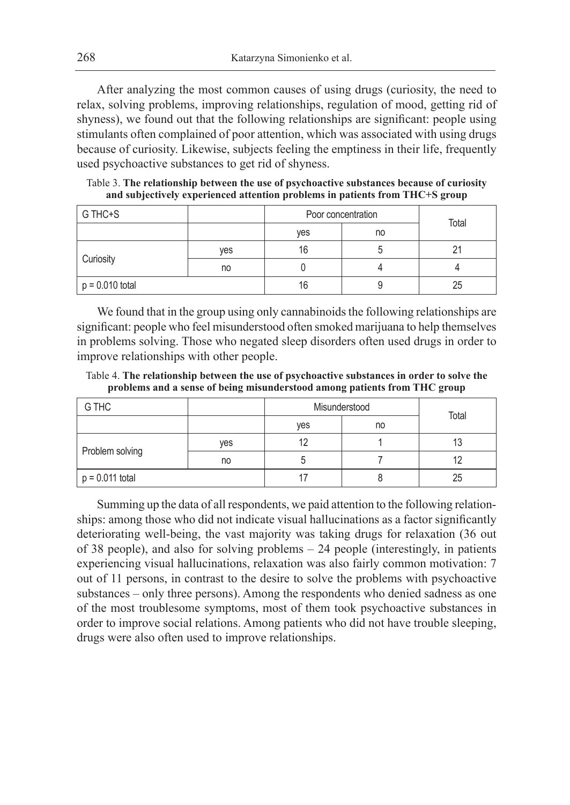After analyzing the most common causes of using drugs (curiosity, the need to relax, solving problems, improving relationships, regulation of mood, getting rid of shyness), we found out that the following relationships are significant: people using stimulants often complained of poor attention, which was associated with using drugs because of curiosity. Likewise, subjects feeling the emptiness in their life, frequently used psychoactive substances to get rid of shyness.

Table 3. **The relationship between the use of psychoactive substances because of curiosity and subjectively experienced attention problems in patients from THC+S group**

| G THC+S           |     | Poor concentration | Total |    |  |
|-------------------|-----|--------------------|-------|----|--|
|                   |     | yes                | no    |    |  |
| Curiosity         | yes | 16                 |       |    |  |
|                   | no  |                    |       |    |  |
| $p = 0.010$ total |     | 16                 |       | 25 |  |

We found that in the group using only cannabinoids the following relationships are significant: people who feel misunderstood often smoked marijuana to help themselves in problems solving. Those who negated sleep disorders often used drugs in order to improve relationships with other people.

Table 4. **The relationship between the use of psychoactive substances in order to solve the problems and a sense of being misunderstood among patients from THC group**

| G THC             |     | Misunderstood | Total |    |
|-------------------|-----|---------------|-------|----|
|                   |     | yes           | no    |    |
| Problem solving   | yes | 12            |       | 13 |
|                   | no  |               |       |    |
| $p = 0.011$ total |     |               |       | 25 |

Summing up the data of all respondents, we paid attention to the following relationships: among those who did not indicate visual hallucinations as a factor significantly deteriorating well-being, the vast majority was taking drugs for relaxation (36 out of 38 people), and also for solving problems – 24 people (interestingly, in patients experiencing visual hallucinations, relaxation was also fairly common motivation: 7 out of 11 persons, in contrast to the desire to solve the problems with psychoactive substances – only three persons). Among the respondents who denied sadness as one of the most troublesome symptoms, most of them took psychoactive substances in order to improve social relations. Among patients who did not have trouble sleeping, drugs were also often used to improve relationships.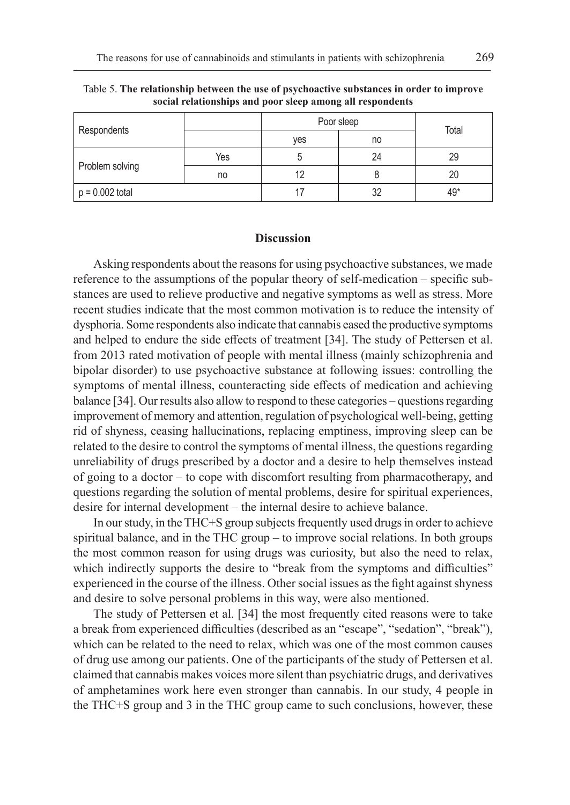|                   |     | Poor sleep | Total |     |  |
|-------------------|-----|------------|-------|-----|--|
| Respondents       |     | yes        | no    |     |  |
| Problem solving   | Yes |            | 24    | 29  |  |
|                   | no  | 12         |       | 20  |  |
| $p = 0.002$ total |     |            | 32    | 49* |  |

Table 5. **The relationship between the use of psychoactive substances in order to improve social relationships and poor sleep among all respondents**

#### **Discussion**

Asking respondents about the reasons for using psychoactive substances, we made reference to the assumptions of the popular theory of self-medication – specific substances are used to relieve productive and negative symptoms as well as stress. More recent studies indicate that the most common motivation is to reduce the intensity of dysphoria. Some respondents also indicate that cannabis eased the productive symptoms and helped to endure the side effects of treatment [34]. The study of Pettersen et al. from 2013 rated motivation of people with mental illness (mainly schizophrenia and bipolar disorder) to use psychoactive substance at following issues: controlling the symptoms of mental illness, counteracting side effects of medication and achieving balance [34]. Our results also allow to respond to these categories – questions regarding improvement of memory and attention, regulation of psychological well-being, getting rid of shyness, ceasing hallucinations, replacing emptiness, improving sleep can be related to the desire to control the symptoms of mental illness, the questions regarding unreliability of drugs prescribed by a doctor and a desire to help themselves instead of going to a doctor – to cope with discomfort resulting from pharmacotherapy, and questions regarding the solution of mental problems, desire for spiritual experiences, desire for internal development – the internal desire to achieve balance.

In our study, in the THC+S group subjects frequently used drugs in order to achieve spiritual balance, and in the THC group – to improve social relations. In both groups the most common reason for using drugs was curiosity, but also the need to relax, which indirectly supports the desire to "break from the symptoms and difficulties" experienced in the course of the illness. Other social issues as the fight against shyness and desire to solve personal problems in this way, were also mentioned.

The study of Pettersen et al. [34] the most frequently cited reasons were to take a break from experienced difficulties (described as an "escape", "sedation", "break"), which can be related to the need to relax, which was one of the most common causes of drug use among our patients. One of the participants of the study of Pettersen et al. claimed that cannabis makes voices more silent than psychiatric drugs, and derivatives of amphetamines work here even stronger than cannabis. In our study, 4 people in the THC+S group and 3 in the THC group came to such conclusions, however, these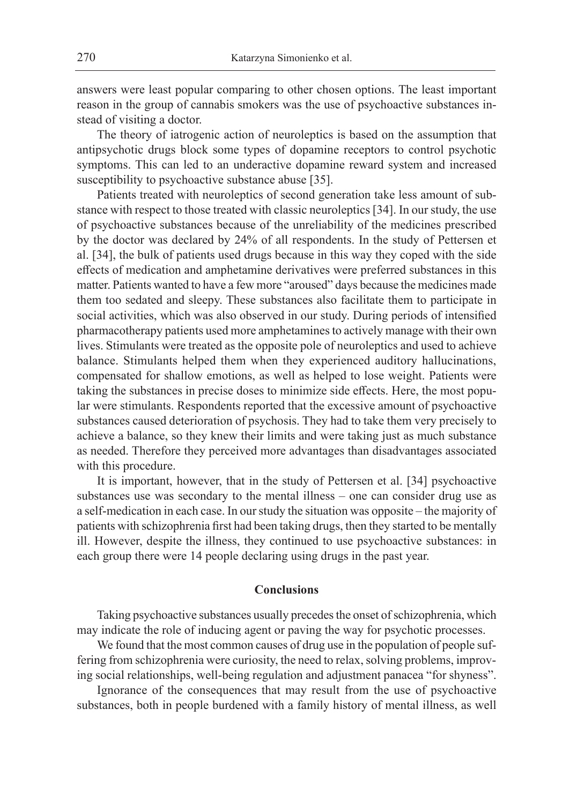answers were least popular comparing to other chosen options. The least important reason in the group of cannabis smokers was the use of psychoactive substances instead of visiting a doctor.

The theory of iatrogenic action of neuroleptics is based on the assumption that antipsychotic drugs block some types of dopamine receptors to control psychotic symptoms. This can led to an underactive dopamine reward system and increased susceptibility to psychoactive substance abuse [35].

Patients treated with neuroleptics of second generation take less amount of substance with respect to those treated with classic neuroleptics [34]. In our study, the use of psychoactive substances because of the unreliability of the medicines prescribed by the doctor was declared by 24% of all respondents. In the study of Pettersen et al. [34], the bulk of patients used drugs because in this way they coped with the side effects of medication and amphetamine derivatives were preferred substances in this matter. Patients wanted to have a few more "aroused" days because the medicines made them too sedated and sleepy. These substances also facilitate them to participate in social activities, which was also observed in our study. During periods of intensified pharmacotherapy patients used more amphetamines to actively manage with their own lives. Stimulants were treated as the opposite pole of neuroleptics and used to achieve balance. Stimulants helped them when they experienced auditory hallucinations, compensated for shallow emotions, as well as helped to lose weight. Patients were taking the substances in precise doses to minimize side effects. Here, the most popular were stimulants. Respondents reported that the excessive amount of psychoactive substances caused deterioration of psychosis. They had to take them very precisely to achieve a balance, so they knew their limits and were taking just as much substance as needed. Therefore they perceived more advantages than disadvantages associated with this procedure.

It is important, however, that in the study of Pettersen et al. [34] psychoactive substances use was secondary to the mental illness – one can consider drug use as a self-medication in each case. In our study the situation was opposite – the majority of patients with schizophrenia first had been taking drugs, then they started to be mentally ill. However, despite the illness, they continued to use psychoactive substances: in each group there were 14 people declaring using drugs in the past year.

#### **Conclusions**

Taking psychoactive substances usually precedes the onset of schizophrenia, which may indicate the role of inducing agent or paving the way for psychotic processes.

We found that the most common causes of drug use in the population of people suffering from schizophrenia were curiosity, the need to relax, solving problems, improving social relationships, well-being regulation and adjustment panacea "for shyness".

Ignorance of the consequences that may result from the use of psychoactive substances, both in people burdened with a family history of mental illness, as well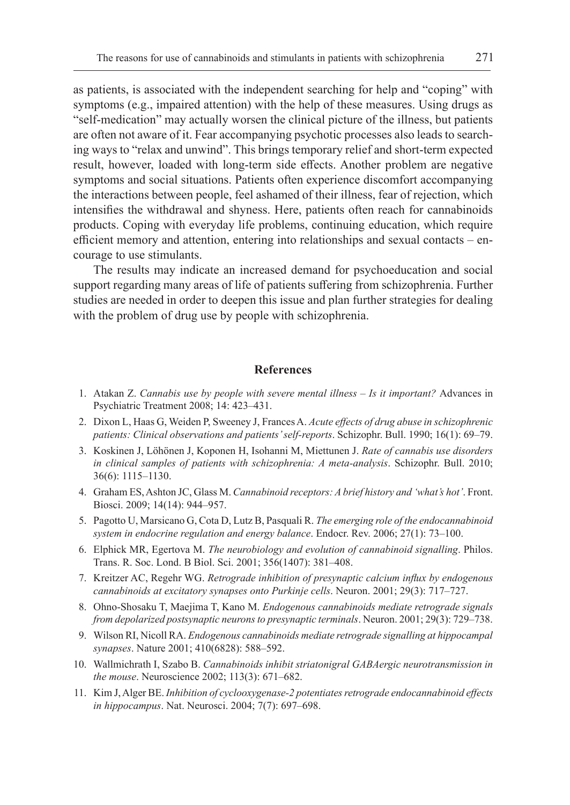as patients, is associated with the independent searching for help and "coping" with symptoms (e.g., impaired attention) with the help of these measures. Using drugs as "self-medication" may actually worsen the clinical picture of the illness, but patients are often not aware of it. Fear accompanying psychotic processes also leads to searching ways to "relax and unwind". This brings temporary relief and short-term expected result, however, loaded with long-term side effects. Another problem are negative symptoms and social situations. Patients often experience discomfort accompanying the interactions between people, feel ashamed of their illness, fear of rejection, which intensifies the withdrawal and shyness. Here, patients often reach for cannabinoids products. Coping with everyday life problems, continuing education, which require efficient memory and attention, entering into relationships and sexual contacts – encourage to use stimulants.

The results may indicate an increased demand for psychoeducation and social support regarding many areas of life of patients suffering from schizophrenia. Further studies are needed in order to deepen this issue and plan further strategies for dealing with the problem of drug use by people with schizophrenia.

## **References**

- 1. Atakan Z. *Cannabis use by people with severe mental illness Is it important?* Advances in Psychiatric Treatment 2008; 14: 423–431.
- 2. Dixon L, Haas G, Weiden P, Sweeney J, Frances A. *Acute effects of drug abuse in schizophrenic patients: Clinical observations and patients' self-reports*. Schizophr. Bull. 1990; 16(1): 69–79.
- 3. Koskinen J, Löhönen J, Koponen H, Isohanni M, Miettunen J. *Rate of cannabis use disorders in clinical samples of patients with schizophrenia: A meta-analysis*. Schizophr. Bull. 2010; 36(6): 1115–1130.
- 4. Graham ES, Ashton JC, Glass M. *Cannabinoid receptors: A brief history and 'what's hot'*. Front. Biosci. 2009; 14(14): 944–957.
- 5. Pagotto U, Marsicano G, Cota D, Lutz B, Pasquali R. *The emerging role of the endocannabinoid system in endocrine regulation and energy balance*. Endocr. Rev. 2006; 27(1): 73–100.
- 6. Elphick MR, Egertova M. *The neurobiology and evolution of cannabinoid signalling*. Philos. Trans. R. Soc. Lond. B Biol. Sci. 2001; 356(1407): 381–408.
- 7. Kreitzer AC, Regehr WG. *Retrograde inhibition of presynaptic calcium influx by endogenous cannabinoids at excitatory synapses onto Purkinje cells*. Neuron. 2001; 29(3): 717–727.
- 8. Ohno-Shosaku T, Maejima T, Kano M. *Endogenous cannabinoids mediate retrograde signals from depolarized postsynaptic neurons to presynaptic terminals*. Neuron. 2001; 29(3): 729–738.
- 9. Wilson RI, Nicoll RA. *Endogenous cannabinoids mediate retrograde signalling at hippocampal synapses*. Nature 2001; 410(6828): 588–592.
- 10. Wallmichrath I, Szabo B. *Cannabinoids inhibit striatonigral GABAergic neurotransmission in the mouse*. Neuroscience 2002; 113(3): 671–682.
- 11. Kim J, Alger BE. *Inhibition of cyclooxygenase-2 potentiates retrograde endocannabinoid effects in hippocampus*. Nat. Neurosci. 2004; 7(7): 697–698.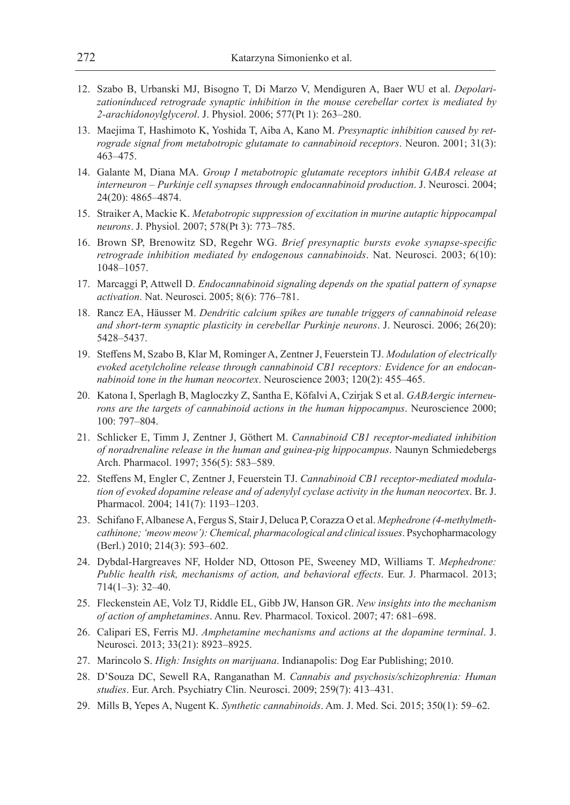- 12. Szabo B, Urbanski MJ, Bisogno T, Di Marzo V, Mendiguren A, Baer WU et al. *Depolarizationinduced retrograde synaptic inhibition in the mouse cerebellar cortex is mediated by 2-arachidonoylglycerol*. J. Physiol. 2006; 577(Pt 1): 263–280.
- 13. Maejima T, Hashimoto K, Yoshida T, Aiba A, Kano M. *Presynaptic inhibition caused by retrograde signal from metabotropic glutamate to cannabinoid receptors*. Neuron. 2001; 31(3): 463–475.
- 14. Galante M, Diana MA. *Group I metabotropic glutamate receptors inhibit GABA release at interneuron – Purkinje cell synapses through endocannabinoid production*. J. Neurosci. 2004; 24(20): 4865–4874.
- 15. Straiker A, Mackie K. *Metabotropic suppression of excitation in murine autaptic hippocampal neurons*. J. Physiol. 2007; 578(Pt 3): 773–785.
- 16. Brown SP, Brenowitz SD, Regehr WG. *Brief presynaptic bursts evoke synapse-specific retrograde inhibition mediated by endogenous cannabinoids*. Nat. Neurosci. 2003; 6(10): 1048–1057.
- 17. Marcaggi P, Attwell D. *Endocannabinoid signaling depends on the spatial pattern of synapse activation*. Nat. Neurosci. 2005; 8(6): 776–781.
- 18. Rancz EA, Häusser M. *Dendritic calcium spikes are tunable triggers of cannabinoid release and short-term synaptic plasticity in cerebellar Purkinje neurons*. J. Neurosci. 2006; 26(20): 5428–5437.
- 19. Steffens M, Szabo B, Klar M, Rominger A, Zentner J, Feuerstein TJ. *Modulation of electrically evoked acetylcholine release through cannabinoid CB1 receptors: Evidence for an endocannabinoid tone in the human neocortex*. Neuroscience 2003; 120(2): 455–465.
- 20. Katona I, Sperlagh B, Magloczky Z, Santha E, Köfalvi A, Czirjak S et al. *GABAergic interneurons are the targets of cannabinoid actions in the human hippocampus*. Neuroscience 2000; 100: 797–804.
- 21. Schlicker E, Timm J, Zentner J, Göthert M. *Cannabinoid CB1 receptor-mediated inhibition of noradrenaline release in the human and guinea-pig hippocampus*. Naunyn Schmiedebergs Arch. Pharmacol. 1997; 356(5): 583–589.
- 22. Steffens M, Engler C, Zentner J, Feuerstein TJ. *Cannabinoid CB1 receptor-mediated modulation of evoked dopamine release and of adenylyl cyclase activity in the human neocortex*. Br. J. Pharmacol. 2004; 141(7): 1193–1203.
- 23. Schifano F, Albanese A, Fergus S, Stair J, Deluca P, Corazza O et al. *Mephedrone (4-methylmethcathinone; 'meow meow'): Chemical, pharmacological and clinical issues*. Psychopharmacology (Berl.) 2010; 214(3): 593–602.
- 24. Dybdal-Hargreaves NF, Holder ND, Ottoson PE, Sweeney MD, Williams T. *Mephedrone: Public health risk, mechanisms of action, and behavioral effects*. Eur. J. Pharmacol. 2013; 714(1–3): 32–40.
- 25. Fleckenstein AE, Volz TJ, Riddle EL, Gibb JW, Hanson GR. *New insights into the mechanism of action of amphetamines*. Annu. Rev. Pharmacol. Toxicol. 2007; 47: 681–698.
- 26. Calipari ES, Ferris MJ. *Amphetamine mechanisms and actions at the dopamine terminal*. J. Neurosci. 2013; 33(21): 8923–8925.
- 27. Marincolo S. *High: Insights on marijuana*. Indianapolis: Dog Ear Publishing; 2010.
- 28. D'Souza DC, Sewell RA, Ranganathan M. *Cannabis and psychosis/schizophrenia: Human studies*. Eur. Arch. Psychiatry Clin. Neurosci. 2009; 259(7): 413–431.
- 29. Mills B, Yepes A, Nugent K. *Synthetic cannabinoids*. Am. J. Med. Sci. 2015; 350(1): 59–62.